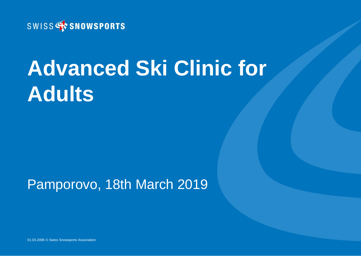

# **Advanced Ski Clinic for Adults**

#### Pamporovo, 18th March 2019

01.03.2006 © Swiss Snowsports Association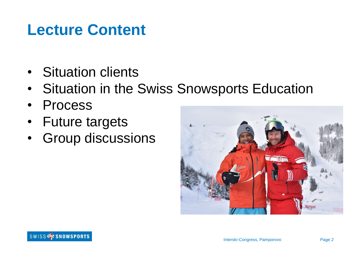### **Lecture Content**

- Situation clients
- Situation in the Swiss Snowsports Education
- Process
- Future targets
- Group discussions

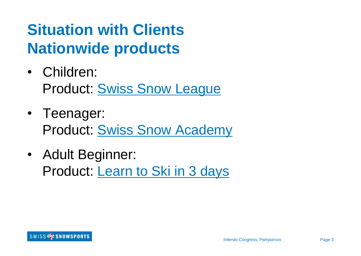## **Situation with Clients Nationwide products**

- Children: Product: [Swiss Snow League](https://www.swiss-ski-school.ch/en/children.html)
- Teenager: Product: [Swiss Snow Academy](https://www.swiss-ski-school.ch/en/teenagers.html)
- Adult Beginner: Product: [Learn to Ski in 3 days](https://www.swiss-ski-school.ch/en/offers/learn-to-ski-in-3-days.html)

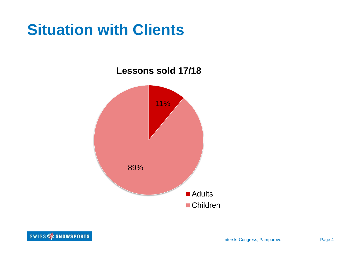## **Situation with Clients**

**Lessons sold 17/18**



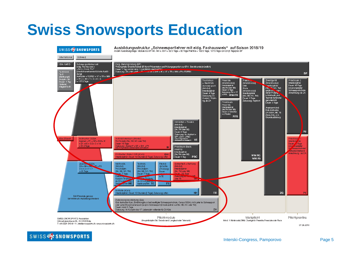## **Swiss Snowsports Education**



SWISS<sup>4</sup> SNOWSPORTS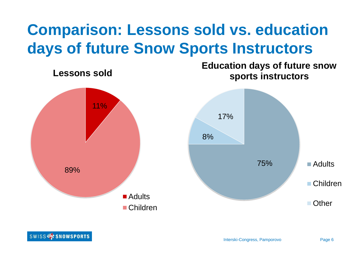## **Comparison: Lessons sold vs. education days of future Snow Sports Instructors**



SWISS<sup>4</sup> SNOWSPORTS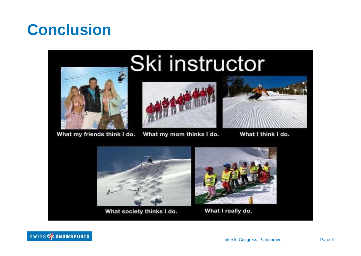## **Conclusion**



What my friends think I do.

# Ski instructor



What my mom thinks I do.



What I think I do.



What society thinks I do.



What I really do.

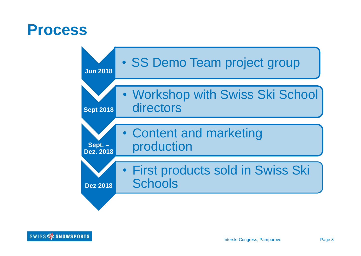#### **Process**



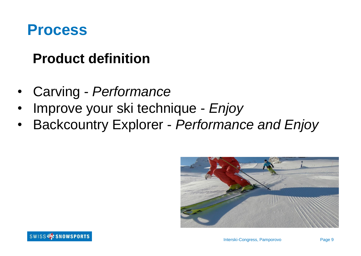#### **Process**

#### **Product definition**

- Carving *Performance*
- Improve your ski technique *Enjoy*
- Backcountry Explorer *Performance and Enjoy*

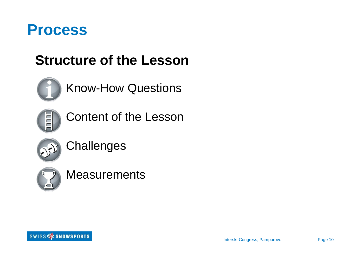

#### **Structure of the Lesson**



#### Know-How Questions



Content of the Lesson



**Challenges** 



#### **Measurements**

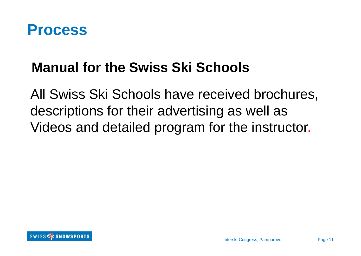

#### **Manual for the Swiss Ski Schools**

All Swiss Ski Schools have received brochures, descriptions for their advertising as well as Videos and detailed program for the instructor.

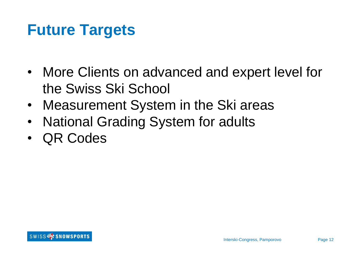## **Future Targets**

- More Clients on advanced and expert level for the Swiss Ski School
- Measurement System in the Ski areas
- National Grading System for adults
- QR Codes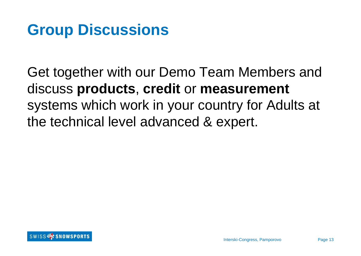## **Group Discussions**

Get together with our Demo Team Members and discuss **products**, **credit** or **measurement** systems which work in your country for Adults at the technical level advanced & expert.